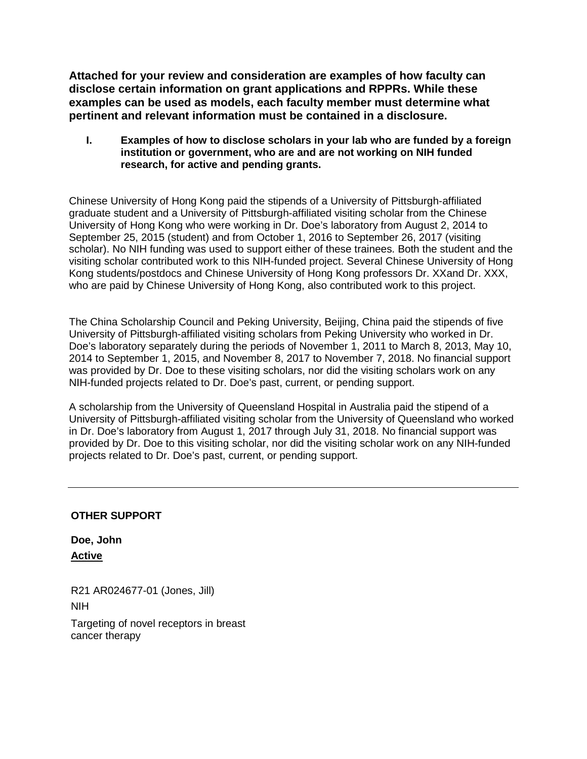**Attached for your review and consideration are examples of how faculty can disclose certain information on grant applications and RPPRs. While these examples can be used as models, each faculty member must determine what pertinent and relevant information must be contained in a disclosure.** 

**I. Examples of how to disclose scholars in your lab who are funded by a foreign institution or government, who are and are not working on NIH funded research, for active and pending grants.** 

Chinese University of Hong Kong paid the stipends of a University of Pittsburgh-affiliated graduate student and a University of Pittsburgh-affiliated visiting scholar from the Chinese University of Hong Kong who were working in Dr. Doe's laboratory from August 2, 2014 to September 25, 2015 (student) and from October 1, 2016 to September 26, 2017 (visiting scholar). No NIH funding was used to support either of these trainees. Both the student and the visiting scholar contributed work to this NIH-funded project. Several Chinese University of Hong Kong students/postdocs and Chinese University of Hong Kong professors Dr. XXand Dr. XXX, who are paid by Chinese University of Hong Kong, also contributed work to this project.

The China Scholarship Council and Peking University, Beijing, China paid the stipends of five University of Pittsburgh-affiliated visiting scholars from Peking University who worked in Dr. Doe's laboratory separately during the periods of November 1, 2011 to March 8, 2013, May 10, 2014 to September 1, 2015, and November 8, 2017 to November 7, 2018. No financial support was provided by Dr. Doe to these visiting scholars, nor did the visiting scholars work on any NIH-funded projects related to Dr. Doe's past, current, or pending support.

A scholarship from the University of Queensland Hospital in Australia paid the stipend of a University of Pittsburgh-affiliated visiting scholar from the University of Queensland who worked in Dr. Doe's laboratory from August 1, 2017 through July 31, 2018. No financial support was provided by Dr. Doe to this visiting scholar, nor did the visiting scholar work on any NIH-funded projects related to Dr. Doe's past, current, or pending support.

### **OTHER SUPPORT**

**Doe, John Active**

R21 AR024677-01 (Jones, Jill) NIH Targeting of novel receptors in breast

cancer therapy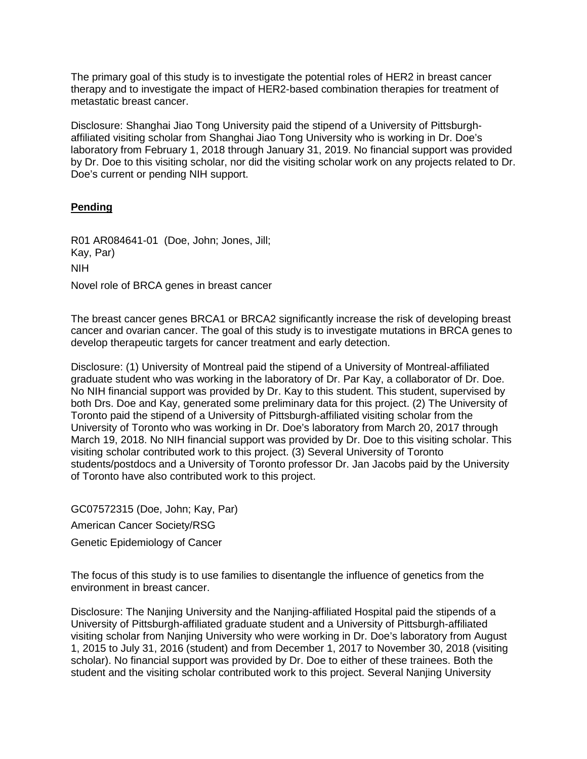The primary goal of this study is to investigate the potential roles of HER2 in breast cancer therapy and to investigate the impact of HER2-based combination therapies for treatment of metastatic breast cancer.

Disclosure: Shanghai Jiao Tong University paid the stipend of a University of Pittsburghaffiliated visiting scholar from Shanghai Jiao Tong University who is working in Dr. Doe's laboratory from February 1, 2018 through January 31, 2019. No financial support was provided by Dr. Doe to this visiting scholar, nor did the visiting scholar work on any projects related to Dr. Doe's current or pending NIH support.

#### **Pending**

R01 AR084641-01 (Doe, John; Jones, Jill; Kay, Par) NIH Novel role of BRCA genes in breast cancer

The breast cancer genes BRCA1 or BRCA2 significantly increase the risk of developing breast cancer and ovarian cancer. The goal of this study is to investigate mutations in BRCA genes to develop therapeutic targets for cancer treatment and early detection.

Disclosure: (1) University of Montreal paid the stipend of a University of Montreal-affiliated graduate student who was working in the laboratory of Dr. Par Kay, a collaborator of Dr. Doe. No NIH financial support was provided by Dr. Kay to this student. This student, supervised by both Drs. Doe and Kay, generated some preliminary data for this project. (2) The University of Toronto paid the stipend of a University of Pittsburgh-affiliated visiting scholar from the University of Toronto who was working in Dr. Doe's laboratory from March 20, 2017 through March 19, 2018. No NIH financial support was provided by Dr. Doe to this visiting scholar. This visiting scholar contributed work to this project. (3) Several University of Toronto students/postdocs and a University of Toronto professor Dr. Jan Jacobs paid by the University of Toronto have also contributed work to this project.

GC07572315 (Doe, John; Kay, Par) American Cancer Society/RSG Genetic Epidemiology of Cancer

The focus of this study is to use families to disentangle the influence of genetics from the environment in breast cancer.

Disclosure: The Nanjing University and the Nanjing-affiliated Hospital paid the stipends of a University of Pittsburgh-affiliated graduate student and a University of Pittsburgh-affiliated visiting scholar from Nanjing University who were working in Dr. Doe's laboratory from August 1, 2015 to July 31, 2016 (student) and from December 1, 2017 to November 30, 2018 (visiting scholar). No financial support was provided by Dr. Doe to either of these trainees. Both the student and the visiting scholar contributed work to this project. Several Nanjing University